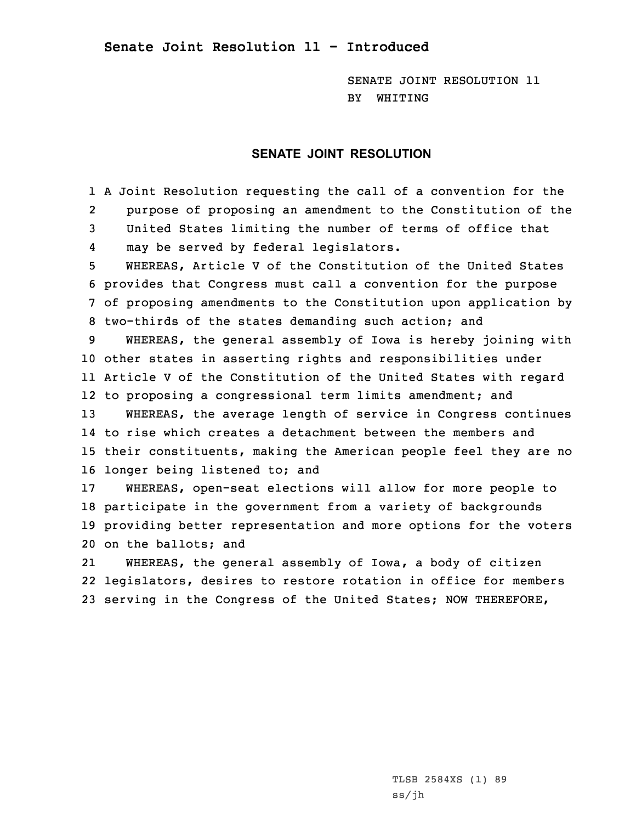**Senate Joint Resolution 11 - Introduced**

SENATE JOINT RESOLUTION 11 BY WHITING

## **SENATE JOINT RESOLUTION**

1 <sup>A</sup> Joint Resolution requesting the call of <sup>a</sup> convention for the 2 purpose of proposing an amendment to the Constitution of the 3 United States limiting the number of terms of office that 4may be served by federal legislators.

 WHEREAS, Article V of the Constitution of the United States provides that Congress must call <sup>a</sup> convention for the purpose of proposing amendments to the Constitution upon application by two-thirds of the states demanding such action; and

 WHEREAS, the general assembly of Iowa is hereby joining with other states in asserting rights and responsibilities under Article <sup>V</sup> of the Constitution of the United States with regard to proposing <sup>a</sup> congressional term limits amendment; and WHEREAS, the average length of service in Congress continues

14 to rise which creates <sup>a</sup> detachment between the members and 15 their constituents, making the American people feel they are no 16 longer being listened to; and

 WHEREAS, open-seat elections will allow for more people to participate in the government from <sup>a</sup> variety of backgrounds providing better representation and more options for the voters on the ballots; and

21 WHEREAS, the general assembly of Iowa, <sup>a</sup> body of citizen 22 legislators, desires to restore rotation in office for members 23 serving in the Congress of the United States; NOW THEREFORE,

> TLSB 2584XS (1) 89 ss/jh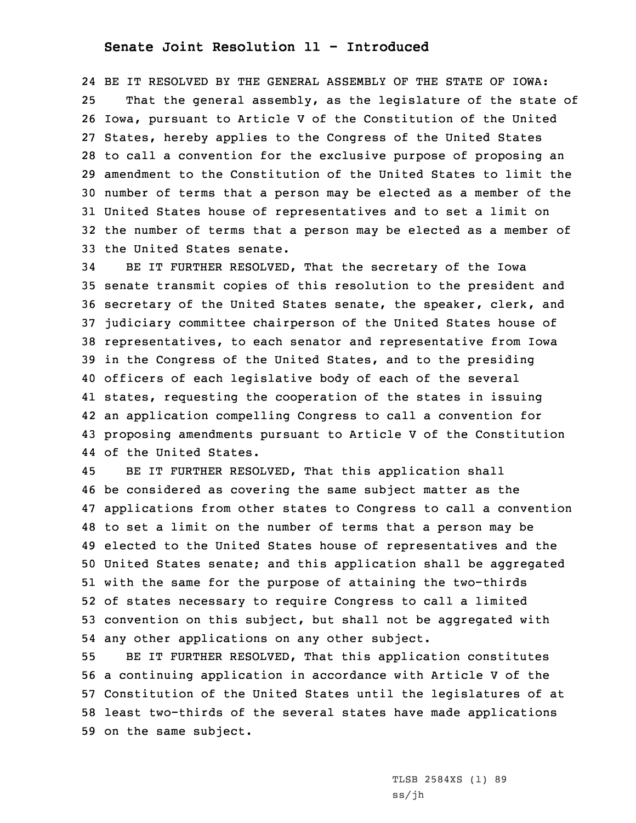## **Senate Joint Resolution 11 - Introduced**

 BE IT RESOLVED BY THE GENERAL ASSEMBLY OF THE STATE OF IOWA: That the general assembly, as the legislature of the state of Iowa, pursuant to Article <sup>V</sup> of the Constitution of the United States, hereby applies to the Congress of the United States to call <sup>a</sup> convention for the exclusive purpose of proposing an amendment to the Constitution of the United States to limit the number of terms that <sup>a</sup> person may be elected as <sup>a</sup> member of the United States house of representatives and to set <sup>a</sup> limit on the number of terms that <sup>a</sup> person may be elected as <sup>a</sup> member of the United States senate.

 BE IT FURTHER RESOLVED, That the secretary of the Iowa senate transmit copies of this resolution to the president and secretary of the United States senate, the speaker, clerk, and judiciary committee chairperson of the United States house of representatives, to each senator and representative from Iowa in the Congress of the United States, and to the presiding officers of each legislative body of each of the several states, requesting the cooperation of the states in issuing an application compelling Congress to call <sup>a</sup> convention for proposing amendments pursuant to Article <sup>V</sup> of the Constitution of the United States.

45 BE IT FURTHER RESOLVED, That this application shall be considered as covering the same subject matter as the applications from other states to Congress to call <sup>a</sup> convention to set <sup>a</sup> limit on the number of terms that <sup>a</sup> person may be elected to the United States house of representatives and the United States senate; and this application shall be aggregated with the same for the purpose of attaining the two-thirds of states necessary to require Congress to call <sup>a</sup> limited convention on this subject, but shall not be aggregated with any other applications on any other subject.

 BE IT FURTHER RESOLVED, That this application constitutes <sup>a</sup> continuing application in accordance with Article <sup>V</sup> of the Constitution of the United States until the legislatures of at least two-thirds of the several states have made applications on the same subject.

> TLSB 2584XS (1) 89 ss/jh